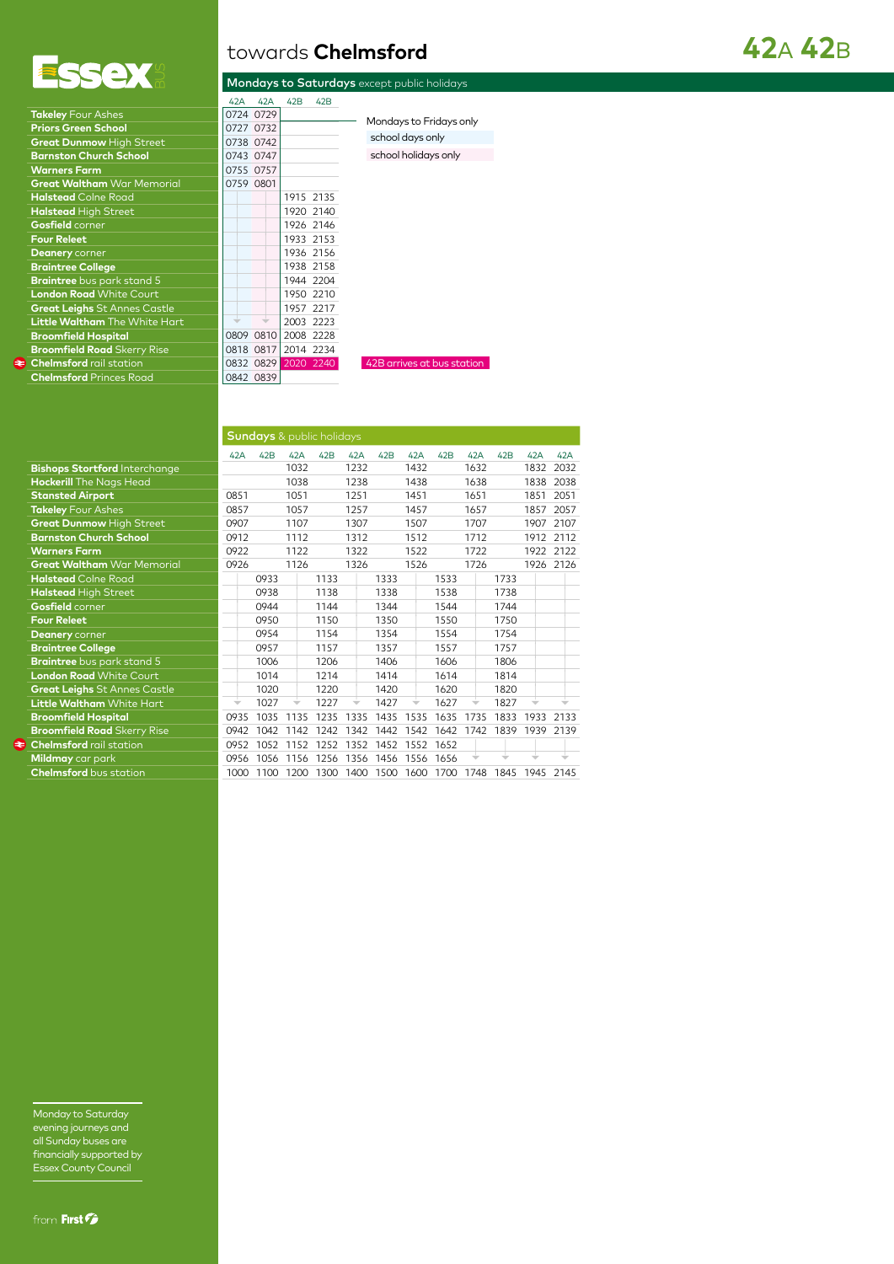

| towards <b>Chelmsford</b> |  |  |
|---------------------------|--|--|
|                           |  |  |

|  |  | Mondays to Saturdays except public holidays |
|--|--|---------------------------------------------|
|  |  |                                             |

|                                      | 42A  | 42A       | 42B       | 42B |
|--------------------------------------|------|-----------|-----------|-----|
| <b>Takeley Four Ashes</b>            |      | 0724 0729 |           |     |
| <b>Priors Green School</b>           |      | 0727 0732 |           |     |
| <b>Great Dunmow High Street</b>      |      | 0738 0742 |           |     |
| <b>Barnston Church School</b>        |      | 0743 0747 |           |     |
| <b>Warners Farm</b>                  |      | 0755 0757 |           |     |
| <b>Great Waltham</b> War Memorial    |      | 0759 0801 |           |     |
| <b>Halstead</b> Colne Road           |      |           | 1915 2135 |     |
| <b>Halstead High Street</b>          |      |           | 1920 2140 |     |
| Gosfield corner                      |      |           | 1926 2146 |     |
| <b>Four Releet</b>                   |      |           | 1933 2153 |     |
| Deanery corner                       |      |           | 1936 2156 |     |
| <b>Braintree College</b>             |      |           | 1938 2158 |     |
| Braintree bus park stand 5           |      |           | 1944 2204 |     |
| <b>London Road White Court</b>       |      |           | 1950 2210 |     |
| <b>Great Leighs St Annes Castle</b>  |      |           | 1957 2217 |     |
| <b>Little Waltham</b> The White Hart |      |           | 2003 2223 |     |
| <b>Broomfield Hospital</b>           |      | 0809 0810 | 2008 2228 |     |
| <b>Broomfield Road</b> Skerry Rise   |      | 0818 0817 | 2014 2234 |     |
| <b>Chelmsford rail station</b>       |      | 0832 0829 | 2020 2240 |     |
| <b>Chelmsford Princes Road</b>       | 0842 | 0839      |           |     |
|                                      |      |           |           |     |

| 42A       | 42A       | 42B | 42 <sub>B</sub> |
|-----------|-----------|-----|-----------------|
|           | 0724 0729 |     |                 |
|           | 0727 0732 |     |                 |
|           | 0738 0742 |     |                 |
|           | 0743 0747 |     |                 |
|           | 0755 0757 |     |                 |
| 0759 0801 |           |     |                 |
|           |           |     | 1915 2135       |
|           |           |     | 1920 2140       |
|           |           |     | 1926 2146       |
|           |           |     | 1933 2153       |
|           |           |     | 1936 2156       |
|           |           |     | 1938 2158       |
|           |           |     | 1944 2204       |
|           |           |     | 1950 2210       |
|           |           |     | 1957 2217       |
|           |           |     | 2003 2223       |
|           | 0809 0810 |     | 2008 2228       |
|           | 0818 0817 |     | 2014 2234       |
|           | 0832 0829 |     | 2020 2240       |
|           | 0842 0839 |     |                 |
|           |           |     |                 |

school days only school holidays only Mondays to Fridays only

## **42**A **42**B

42B arrives at bus station

|                                      |                          | <b>Sundays</b> & public holidays |      |      |      |      |           |      |      |      |           |      |
|--------------------------------------|--------------------------|----------------------------------|------|------|------|------|-----------|------|------|------|-----------|------|
|                                      | 42A                      | 42B                              | 42A  | 42B  | 42A  | 42B  | 42A       | 42B  | 42A  | 42B  | 42A       | 42A  |
| <b>Bishops Stortford Interchange</b> |                          |                                  | 1032 |      | 1232 |      | 1432      |      | 1632 |      | 1832      | 2032 |
| Hockerill The Nags Head              |                          |                                  | 1038 |      | 1238 |      | 1438      |      | 1638 |      | 1838      | 2038 |
| <b>Stansted Airport</b>              | 0851                     |                                  | 1051 |      | 1251 |      | 1451      |      | 1651 |      | 1851      | 2051 |
| <b>Takeley</b> Four Ashes            | 0857                     |                                  | 1057 |      | 1257 |      | 1457      |      | 1657 |      | 1857      | 2057 |
| <b>Great Dunmow High Street</b>      | 0907                     |                                  | 1107 |      | 1307 |      | 1507      |      | 1707 |      | 1907      | 2107 |
| <b>Barnston Church School</b>        | 0912                     |                                  | 1112 |      | 1312 |      | 1512      |      | 1712 |      | 1912      | 2112 |
| <b>Warners Farm</b>                  | 0922                     |                                  | 1122 |      | 1322 |      | 1522      |      | 1722 |      | 1922      | 2122 |
| Great Waltham War Memorial           | 0926                     |                                  | 1126 |      | 1326 |      | 1526      |      | 1726 |      | 1926 2126 |      |
| <b>Halstead</b> Colne Road           |                          | 0933                             |      | 1133 |      | 1333 |           | 1533 |      | 1733 |           |      |
| <b>Halstead High Street</b>          |                          | 0938                             |      | 1138 |      | 1338 |           | 1538 |      | 1738 |           |      |
| Gosfield corner                      |                          | 0944                             |      | 1144 |      | 1344 |           | 1544 |      | 1744 |           |      |
| <b>Four Releet</b>                   |                          | 0950                             |      | 1150 |      | 1350 |           | 1550 |      | 1750 |           |      |
| Deanery corner                       |                          | 0954                             |      | 1154 |      | 1354 |           | 1554 |      | 1754 |           |      |
| <b>Braintree College</b>             |                          | 0957                             |      | 1157 |      | 1357 |           | 1557 |      | 1757 |           |      |
| <b>Braintree</b> bus park stand 5    |                          | 1006                             |      | 1206 |      | 1406 |           | 1606 |      | 1806 |           |      |
| <b>London Road White Court</b>       |                          | 1014                             |      | 1214 |      | 1414 |           | 1614 |      | 1814 |           |      |
| Great Leighs St Annes Castle         |                          | 1020                             |      | 1220 |      | 1420 |           | 1620 |      | 1820 |           |      |
| <b>Little Waltham</b> White Hart     | $\overline{\phantom{a}}$ | 1027                             |      | 1227 |      | 1427 |           | 1627 |      | 1827 |           |      |
| <b>Broomfield Hospital</b>           | 0935                     | 1035                             | 1135 | 1235 | 1335 |      | 1435 1535 | 1635 | 1735 | 1833 | 1933      | 2133 |
| <b>Broomfield Road</b> Skerry Rise   | 0942                     | 1042                             | 1142 | 1242 | 1342 | 1442 | 1542      | 1642 | 1742 | 1839 | 1939      | 2139 |
| <b>Chelmsford</b> rail station       | 0952                     | 1052                             | 1152 | 1252 | 1352 | 1452 | 1552      | 1652 |      |      |           |      |
| Mildmay car park                     | 0956                     | 1056                             | 1156 | 1256 | 1356 |      | 1456 1556 | 1656 |      |      |           |      |
| <b>Chelmsford</b> bus station        | 1000                     | 1100                             | 1200 | 1300 | 1400 | 1500 | 1600      | 1700 | 1748 | 1845 | 1945      | 2145 |
|                                      |                          |                                  |      |      |      |      |           |      |      |      |           |      |

Monday to Saturday evening journeys and all Sunday buses are financially supported by Essex County Council